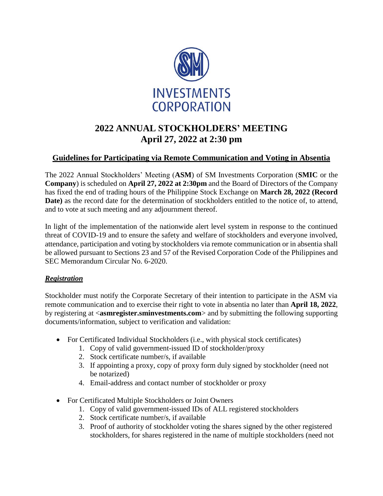

# **2022 ANNUAL STOCKHOLDERS' MEETING April 27, 2022 at 2:30 pm**

## **Guidelines for Participating via Remote Communication and Voting in Absentia**

The 2022 Annual Stockholders' Meeting (**ASM**) of SM Investments Corporation (**SMIC** or the **Company**) is scheduled on **April 27, 2022 at 2:30pm** and the Board of Directors of the Company has fixed the end of trading hours of the Philippine Stock Exchange on **March 28, 2022 (Record Date)** as the record date for the determination of stockholders entitled to the notice of, to attend, and to vote at such meeting and any adjournment thereof.

In light of the implementation of the nationwide alert level system in response to the continued threat of COVID-19 and to ensure the safety and welfare of stockholders and everyone involved, attendance, participation and voting by stockholders via remote communication or in absentia shall be allowed pursuant to Sections 23 and 57 of the Revised Corporation Code of the Philippines and SEC Memorandum Circular No. 6-2020.

### *Registration*

Stockholder must notify the Corporate Secretary of their intention to participate in the ASM via remote communication and to exercise their right to vote in absentia no later than **April 18, 2022**, by registering at <**asmregister.sminvestments.com**> and by submitting the following supporting documents/information, subject to verification and validation:

- For Certificated Individual Stockholders (i.e., with physical stock certificates)
	- 1. Copy of valid government-issued ID of stockholder/proxy
	- 2. Stock certificate number/s, if available
	- 3. If appointing a proxy, copy of proxy form duly signed by stockholder (need not be notarized)
	- 4. Email-address and contact number of stockholder or proxy
- For Certificated Multiple Stockholders or Joint Owners
	- 1. Copy of valid government-issued IDs of ALL registered stockholders
	- 2. Stock certificate number/s, if available
	- 3. Proof of authority of stockholder voting the shares signed by the other registered stockholders, for shares registered in the name of multiple stockholders (need not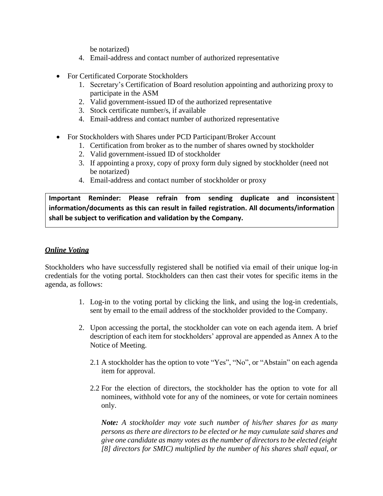be notarized)

- 4. Email-address and contact number of authorized representative
- For Certificated Corporate Stockholders
	- 1. Secretary's Certification of Board resolution appointing and authorizing proxy to participate in the ASM
	- 2. Valid government-issued ID of the authorized representative
	- 3. Stock certificate number/s, if available
	- 4. Email-address and contact number of authorized representative
- For Stockholders with Shares under PCD Participant/Broker Account
	- 1. Certification from broker as to the number of shares owned by stockholder
	- 2. Valid government-issued ID of stockholder
	- 3. If appointing a proxy, copy of proxy form duly signed by stockholder (need not be notarized)
	- 4. Email-address and contact number of stockholder or proxy

**Important Reminder: Please refrain from sending duplicate and inconsistent information/documents as this can result in failed registration. All documents/information shall be subject to verification and validation by the Company.**

#### *Online Voting*

Stockholders who have successfully registered shall be notified via email of their unique log-in credentials for the voting portal. Stockholders can then cast their votes for specific items in the agenda, as follows:

- 1. Log-in to the voting portal by clicking the link, and using the log-in credentials, sent by email to the email address of the stockholder provided to the Company.
- 2. Upon accessing the portal, the stockholder can vote on each agenda item. A brief description of each item for stockholders' approval are appended as Annex A to the Notice of Meeting.
	- 2.1 A stockholder has the option to vote "Yes", "No", or "Abstain" on each agenda item for approval.
	- 2.2 For the election of directors, the stockholder has the option to vote for all nominees, withhold vote for any of the nominees, or vote for certain nominees only.

*Note: A stockholder may vote such number of his/her shares for as many persons as there are directors to be elected or he may cumulate said shares and give one candidate as many votes as the number of directors to be elected (eight [8] directors for SMIC) multiplied by the number of his shares shall equal, or*